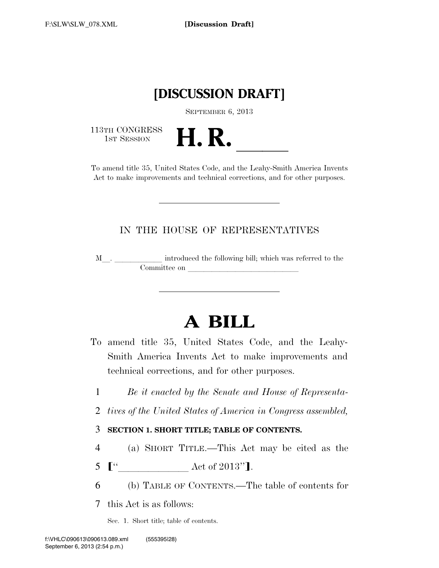## **[DISCUSSION DRAFT]**

SEPTEMBER 6, 2013

113TH CONGRESS<br>1st Session



Act to make improvements and technical corrections, and for other purposes.

## IN THE HOUSE OF REPRESENTATIVES

<sup>M</sup>l. llllll introduced the following bill; which was referred to the Committee on leads on later was a set of the contract of the contract of the contract of the contract of the contract of the contract of the contract of the contract of the contract of the contract of the contract of the c

# **A BILL**

- To amend title 35, United States Code, and the Leahy-Smith America Invents Act to make improvements and technical corrections, and for other purposes.
	- 1 *Be it enacted by the Senate and House of Representa-*
- 2 *tives of the United States of America in Congress assembled,*

## 3 **SECTION 1. SHORT TITLE; TABLE OF CONTENTS.**

- 4 (a) SHORT TITLE.—This Act may be cited as the
- <sup>5</sup> <sup>ø</sup>''lllllll Act of 2013''¿.
- 6 (b) TABLE OF CONTENTS.—The table of contents for

7 this Act is as follows:

Sec. 1. Short title; table of contents.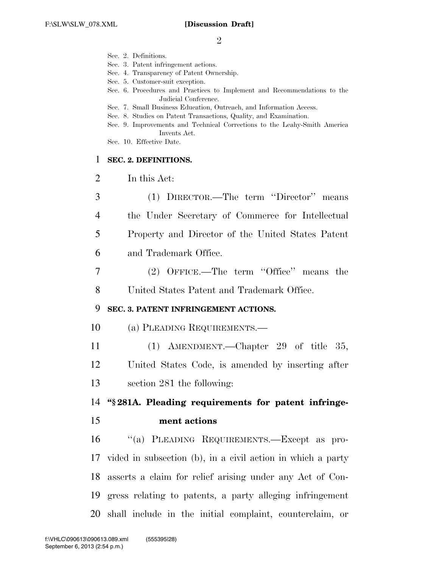|                | Sec. 2. Definitions.<br>Sec. 3. Patent infringement actions.                                                                             |
|----------------|------------------------------------------------------------------------------------------------------------------------------------------|
|                | Sec. 4. Transparency of Patent Ownership.<br>Sec. 5. Customer-suit exception.                                                            |
|                | Sec. 6. Procedures and Practices to Implement and Recommendations to the<br>Judicial Conference.                                         |
|                | Sec. 7. Small Business Education, Outreach, and Information Access.<br>Sec. 8. Studies on Patent Transactions, Quality, and Examination. |
|                | Sec. 9. Improvements and Technical Corrections to the Leahy-Smith America                                                                |
|                | Invents Act.<br>Sec. 10. Effective Date.                                                                                                 |
| 1              | SEC. 2. DEFINITIONS.                                                                                                                     |
| $\overline{2}$ | In this Act:                                                                                                                             |
| 3              | (1) DIRECTOR.—The term "Director" means                                                                                                  |
| $\overline{4}$ | the Under Secretary of Commerce for Intellectual                                                                                         |
| 5              | Property and Director of the United States Patent                                                                                        |
| 6              | and Trademark Office.                                                                                                                    |
| 7              | (2) OFFICE.—The term "Office" means the                                                                                                  |
| 8              | United States Patent and Trademark Office.                                                                                               |
| 9              | SEC. 3. PATENT INFRINGEMENT ACTIONS.                                                                                                     |
| 10             | (a) PLEADING REQUIREMENTS.—                                                                                                              |
| 11             | (1) AMENDMENT.—Chapter 29 of title 35,                                                                                                   |
| 12             | United States Code, is amended by inserting after                                                                                        |
| 13             | section 281 the following:                                                                                                               |
| 14             | "§281A. Pleading requirements for patent infringe-                                                                                       |
| 15             | ment actions                                                                                                                             |
| 16             | "(a) PLEADING REQUIREMENTS.-Except as pro-                                                                                               |
| 17             | vided in subsection (b), in a civil action in which a party                                                                              |
| 18             | asserts a claim for relief arising under any Act of Con-                                                                                 |
| 19             | gress relating to patents, a party alleging infringement                                                                                 |
| 20             | shall include in the initial complaint, counterclaim, or                                                                                 |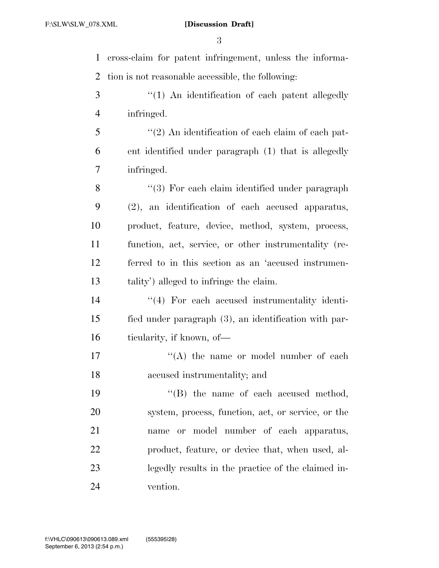cross-claim for patent infringement, unless the informa- tion is not reasonable accessible, the following: 3 "(1) An identification of each patent allegedly infringed. ''(2) An identification of each claim of each pat- ent identified under paragraph (1) that is allegedly infringed. 8 "(3) For each claim identified under paragraph (2), an identification of each accused apparatus, product, feature, device, method, system, process, function, act, service, or other instrumentality (re- ferred to in this section as an 'accused instrumen- tality') alleged to infringe the claim. 14 ''(4) For each accused instrumentality identi- fied under paragraph (3), an identification with par-16 ticularity, if known, of 17 ''(A) the name or model number of each accused instrumentality; and  $\text{``(B)}$  the name of each accused method, system, process, function, act, or service, or the name or model number of each apparatus, product, feature, or device that, when used, al- legedly results in the practice of the claimed in-vention.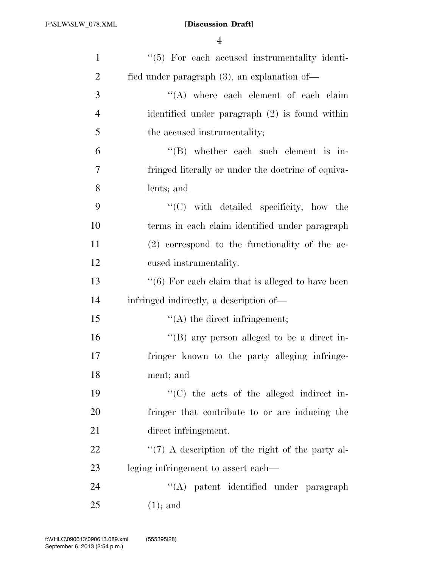| $\mathbf{1}$   | $\lq(5)$ For each accused instrumentality identi-            |
|----------------|--------------------------------------------------------------|
| $\overline{2}$ | fied under paragraph $(3)$ , an explanation of —             |
| 3              | $\lq\lq$ where each element of each claim                    |
| $\overline{4}$ | identified under paragraph $(2)$ is found within             |
| 5              | the accused instrumentality;                                 |
| 6              | $\lq\lq$ whether each such element is in-                    |
| 7              | fringed literally or under the doctrine of equiva-           |
| 8              | lents; and                                                   |
| 9              | "(C) with detailed specificity, how the                      |
| 10             | terms in each claim identified under paragraph               |
| 11             | $(2)$ correspond to the functionality of the ac-             |
| 12             | cused instrumentality.                                       |
| 13             | $\cdot\cdot$ (6) For each claim that is alleged to have been |
| 14             | infringed indirectly, a description of—                      |
| 15             | $\lq\lq$ the direct infringement;                            |
| 16             | "(B) any person alleged to be a direct in-                   |
| 17             | fringer known to the party alleging infringe-                |
| 18             | ment; and                                                    |
| 19             | $\cdot$ (C) the acts of the alleged indirect in-             |
| 20             | fringer that contribute to or are inducing the               |
| 21             | direct infringement.                                         |
| 22             | $\lq(7)$ A description of the right of the party al-         |
| 23             | leging infringement to assert each—                          |
| 24             | "(A) patent identified under paragraph                       |
| 25             | $(1)$ ; and                                                  |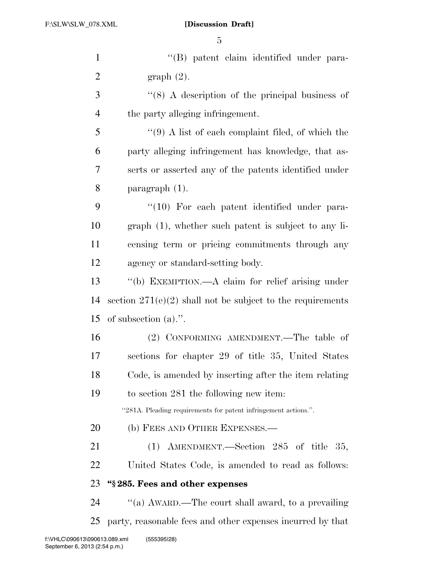''(B) patent claim identified under para-2 graph  $(2)$ . 3 ''(8) A description of the principal business of the party alleging infringement. ''(9) A list of each complaint filed, of which the party alleging infringement has knowledge, that as- serts or asserted any of the patents identified under paragraph (1). 9 "(10) For each patent identified under para- graph (1), whether such patent is subject to any li- censing term or pricing commitments through any agency or standard-setting body. ''(b) EXEMPTION.—A claim for relief arising under 14 section  $271(e)(2)$  shall not be subject to the requirements of subsection (a).''. (2) CONFORMING AMENDMENT.—The table of sections for chapter 29 of title 35, United States Code, is amended by inserting after the item relating to section 281 the following new item: ''281A. Pleading requirements for patent infringement actions.''. 20 (b) FEES AND OTHER EXPENSES.— (1) AMENDMENT.—Section 285 of title 35, United States Code, is amended to read as follows: **''§ 285. Fees and other expenses**   $\%$  (a) AWARD.—The court shall award, to a prevailing party, reasonable fees and other expenses incurred by that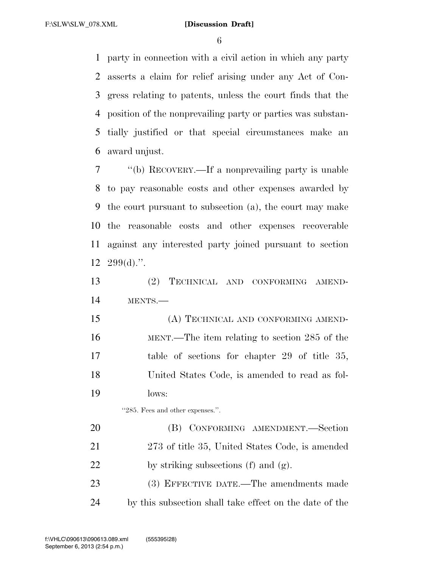party in connection with a civil action in which any party asserts a claim for relief arising under any Act of Con- gress relating to patents, unless the court finds that the position of the nonprevailing party or parties was substan- tially justified or that special circumstances make an award unjust.

 ''(b) RECOVERY.—If a nonprevailing party is unable to pay reasonable costs and other expenses awarded by the court pursuant to subsection (a), the court may make the reasonable costs and other expenses recoverable against any interested party joined pursuant to section  $12 \quad 299(d).$ ".

 (2) TECHNICAL AND CONFORMING AMEND-MENTS.—

 (A) TECHNICAL AND CONFORMING AMEND- MENT.—The item relating to section 285 of the table of sections for chapter 29 of title 35, United States Code, is amended to read as fol-lows:

''285. Fees and other expenses.''.

 (B) CONFORMING AMENDMENT.—Section 273 of title 35, United States Code, is amended 22 by striking subsections (f) and  $(g)$ .

 (3) EFFECTIVE DATE.—The amendments made by this subsection shall take effect on the date of the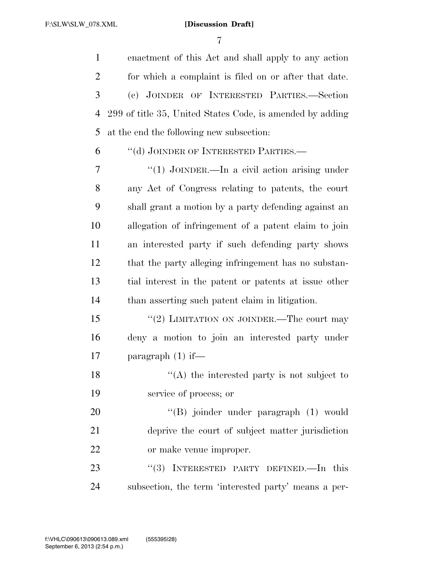enactment of this Act and shall apply to any action for which a complaint is filed on or after that date. (c) JOINDER OF INTERESTED PARTIES.—Section 299 of title 35, United States Code, is amended by adding at the end the following new subsection:

''(d) JOINDER OF INTERESTED PARTIES.—

 ''(1) JOINDER.—In a civil action arising under any Act of Congress relating to patents, the court shall grant a motion by a party defending against an allegation of infringement of a patent claim to join an interested party if such defending party shows that the party alleging infringement has no substan- tial interest in the patent or patents at issue other than asserting such patent claim in litigation.

15 "(2) LIMITATION ON JOINDER.—The court may deny a motion to join an interested party under paragraph (1) if—

18  $\langle (A)$  the interested party is not subject to service of process; or

20 "'(B) joinder under paragraph (1) would deprive the court of subject matter jurisdiction or make venue improper.

23 "(3) INTERESTED PARTY DEFINED.—In this subsection, the term 'interested party' means a per-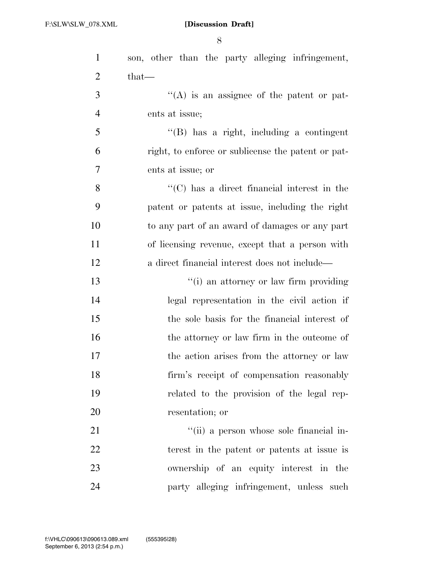| $\mathbf{1}$   | son, other than the party alleging infringement,    |
|----------------|-----------------------------------------------------|
| $\overline{2}$ | that—                                               |
| 3              | $\lq\lq$ is an assignee of the patent or pat-       |
| $\overline{4}$ | ents at issue;                                      |
| 5              | $\lq\lq$ (B) has a right, including a contingent    |
| 6              | right, to enforce or sublicense the patent or pat-  |
| 7              | ents at issue; or                                   |
| 8              | $\lq\lq$ (C) has a direct financial interest in the |
| 9              | patent or patents at issue, including the right     |
| 10             | to any part of an award of damages or any part      |
| 11             | of licensing revenue, except that a person with     |
| 12             | a direct financial interest does not include—       |
| 13             | "(i) an attorney or law firm providing              |
| 14             | legal representation in the civil action if         |
| 15             | the sole basis for the financial interest of        |
| 16             | the attorney or law firm in the outcome of          |
| 17             | the action arises from the attorney or law          |
| 18             | firm's receipt of compensation reasonably           |
| 19             | related to the provision of the legal rep-          |
| 20             | resentation; or                                     |
| 21             | "(ii) a person whose sole financial in-             |
| 22             | terest in the patent or patents at issue is         |
| 23             | ownership of an equity interest in the              |
| 24             | party alleging infringement, unless such            |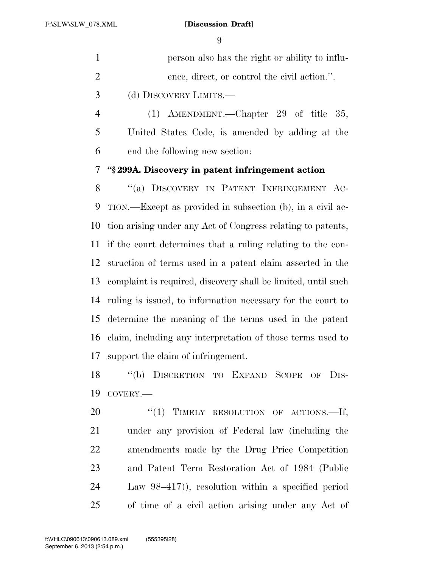|   | person also has the right or ability to influ-  |
|---|-------------------------------------------------|
| 2 | ence, direct, or control the civil action.".    |
| 3 | (d) DISCOVERY LIMITS.—                          |
|   | (1) AMENDMENT.—Chapter 29 of title 35,          |
| 5 | United States Code, is amended by adding at the |

end the following new section:

**''§ 299A. Discovery in patent infringement action** 

8 "(a) DISCOVERY IN PATENT INFRINGEMENT AC- TION.—Except as provided in subsection (b), in a civil ac- tion arising under any Act of Congress relating to patents, if the court determines that a ruling relating to the con- struction of terms used in a patent claim asserted in the complaint is required, discovery shall be limited, until such ruling is issued, to information necessary for the court to determine the meaning of the terms used in the patent claim, including any interpretation of those terms used to support the claim of infringement.

 ''(b) DISCRETION TO EXPAND SCOPE OF DIS-COVERY.—

20 "(1) TIMELY RESOLUTION OF ACTIONS.—If, under any provision of Federal law (including the amendments made by the Drug Price Competition and Patent Term Restoration Act of 1984 (Public Law 98–417)), resolution within a specified period of time of a civil action arising under any Act of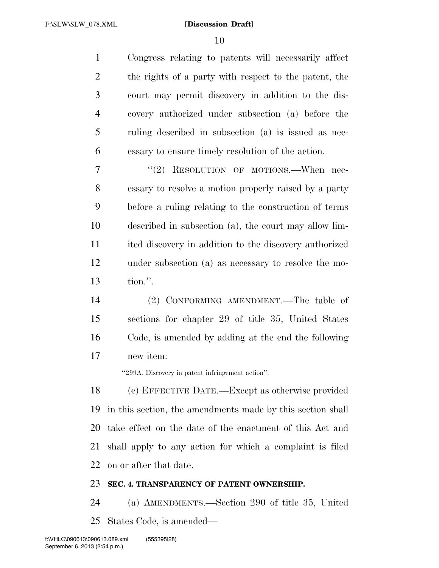Congress relating to patents will necessarily affect the rights of a party with respect to the patent, the court may permit discovery in addition to the dis- covery authorized under subsection (a) before the ruling described in subsection (a) is issued as nec-essary to ensure timely resolution of the action.

7 "(2) RESOLUTION OF MOTIONS.—When nec- essary to resolve a motion properly raised by a party before a ruling relating to the construction of terms described in subsection (a), the court may allow lim- ited discovery in addition to the discovery authorized under subsection (a) as necessary to resolve the mo-tion.''.

 (2) CONFORMING AMENDMENT.—The table of sections for chapter 29 of title 35, United States Code, is amended by adding at the end the following new item:

''299A. Discovery in patent infringement action''.

 (e) EFFECTIVE DATE.—Except as otherwise provided in this section, the amendments made by this section shall take effect on the date of the enactment of this Act and shall apply to any action for which a complaint is filed on or after that date.

## **SEC. 4. TRANSPARENCY OF PATENT OWNERSHIP.**

 (a) AMENDMENTS.—Section 290 of title 35, United States Code, is amended—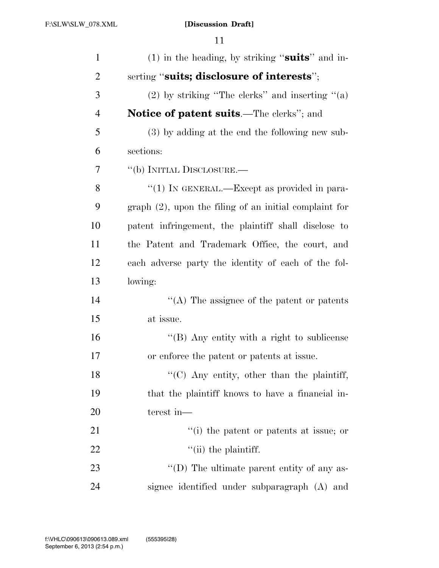| $\mathbf{1}$   | (1) in the heading, by striking "suits" and in-          |
|----------------|----------------------------------------------------------|
| $\overline{2}$ | serting "suits; disclosure of interests";                |
| 3              | $(2)$ by striking "The clerks" and inserting " $(a)$     |
| $\overline{4}$ | <b>Notice of patent suits.—The clerks"</b> ; and         |
| 5              | (3) by adding at the end the following new sub-          |
| 6              | sections:                                                |
| 7              | "(b) INITIAL DISCLOSURE.—                                |
| 8              | "(1) IN GENERAL.—Except as provided in para-             |
| 9              | $graph(2)$ , upon the filing of an initial complaint for |
| 10             | patent infringement, the plaintiff shall disclose to     |
| 11             | the Patent and Trademark Office, the court, and          |
| 12             | each adverse party the identity of each of the fol-      |
| 13             | lowing:                                                  |
| 14             | $\lq\lq$ . The assignee of the patent or patents         |
| 15             | at issue.                                                |
| 16             | "(B) Any entity with a right to sublicense               |
| 17             | or enforce the patent or patents at issue.               |
| 18             | $\lq\lq$ (C) Any entity, other than the plaintiff,       |
| 19             | that the plaintiff knows to have a financial in-         |
| 20             | terest in-                                               |
| 21             | "(i) the patent or patents at issue; or                  |
| 22             | $\lq$ (ii) the plaintiff.                                |
| 23             | "(D) The ultimate parent entity of any as-               |
| 24             | signee identified under subparagraph (A) and             |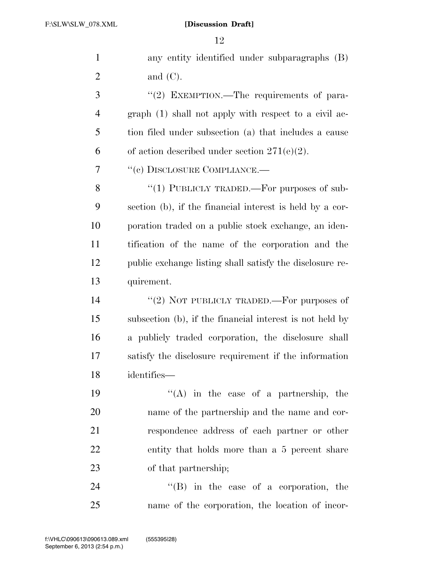| $\mathbf{1}$   | any entity identified under subparagraphs (B)            |
|----------------|----------------------------------------------------------|
| $\overline{2}$ | and $(C)$ .                                              |
| 3              | "(2) EXEMPTION.—The requirements of para-                |
| $\overline{4}$ | graph (1) shall not apply with respect to a civil ac-    |
| 5              | tion filed under subsection (a) that includes a cause    |
| 6              | of action described under section $271(e)(2)$ .          |
| 7              | "(c) DISCLOSURE COMPLIANCE.—                             |
| 8              | "(1) PUBLICLY TRADED.—For purposes of sub-               |
| 9              | section (b), if the financial interest is held by a cor- |
| 10             | poration traded on a public stock exchange, an iden-     |
| 11             | tification of the name of the corporation and the        |
| 12             | public exchange listing shall satisfy the disclosure re- |
| 13             | quirement.                                               |
| 14             | "(2) NOT PUBLICLY TRADED.—For purposes of                |
| 15             | subsection (b), if the financial interest is not held by |
| 16             | a publicly traded corporation, the disclosure shall      |
| 17             | satisfy the disclosure requirement if the information    |
| 18             | identifies—                                              |
| 19             | $\lq\lq$ in the case of a partnership, the               |
| 20             | name of the partnership and the name and cor-            |
| 21             | respondence address of each partner or other             |
| 22             | entity that holds more than a 5 percent share            |
| 23             | of that partnership;                                     |
| 24             | $\lq\lq$ (B) in the case of a corporation, the           |
| 25             | name of the corporation, the location of incor-          |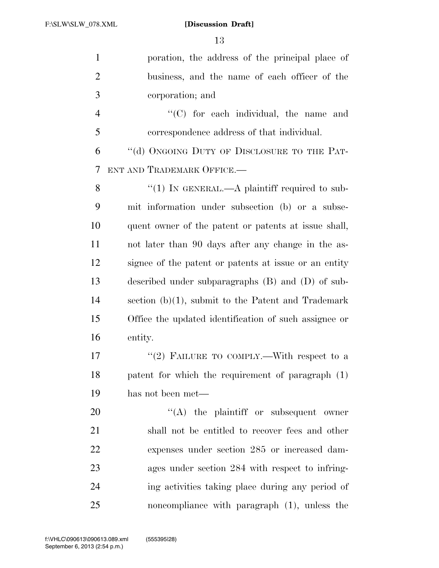| $\mathbf{1}$   | poration, the address of the principal place of       |
|----------------|-------------------------------------------------------|
| $\overline{2}$ | business, and the name of each officer of the         |
| 3              | corporation; and                                      |
| $\overline{4}$ | "(C) for each individual, the name and                |
| 5              | correspondence address of that individual.            |
| 6              | "(d) ONGOING DUTY OF DISCLOSURE TO THE PAT-           |
| 7              | ENT AND TRADEMARK OFFICE.-                            |
| 8              | "(1) IN GENERAL.—A plaintiff required to sub-         |
| 9              | mit information under subsection (b) or a subse-      |
| 10             | quent owner of the patent or patents at issue shall,  |
| 11             | not later than 90 days after any change in the as-    |
| 12             | signee of the patent or patents at issue or an entity |
| 13             | described under subparagraphs $(B)$ and $(D)$ of sub- |
| 14             | section $(b)(1)$ , submit to the Patent and Trademark |
| 15             | Office the updated identification of such assignee or |
| 16             | entity.                                               |
| 17             | "(2) FAILURE TO COMPLY.—With respect to a             |
| 18             | patent for which the requirement of paragraph (1)     |
| 19             | has not been met—                                     |
| 20             | $\lq\lq$ the plaintiff or subsequent owner            |
| 21             | shall not be entitled to recover fees and other       |
| 22             | expenses under section 285 or increased dam-          |
| 23             | ages under section 284 with respect to infring-       |
| 24             | ing activities taking place during any period of      |
| 25             | noncompliance with paragraph (1), unless the          |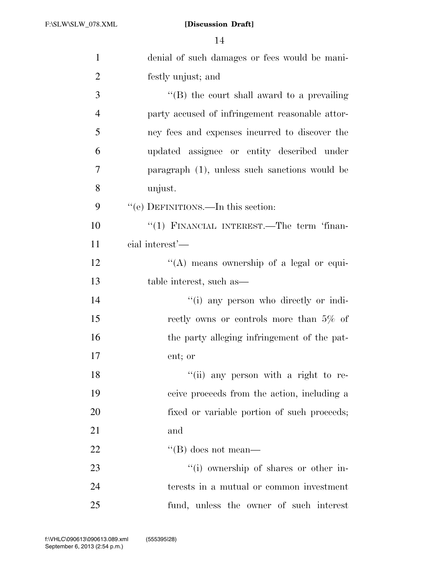| $\mathbf{1}$   | denial of such damages or fees would be mani-   |
|----------------|-------------------------------------------------|
| $\overline{2}$ | festly unjust; and                              |
| 3              | $\lq\lq$ the court shall award to a prevailing  |
| $\overline{4}$ | party accused of infringement reasonable attor- |
| 5              | ney fees and expenses incurred to discover the  |
| 6              | updated assignee or entity described under      |
| 7              | paragraph (1), unless such sanctions would be   |
| 8              | unjust.                                         |
| 9              | "(e) DEFINITIONS.—In this section:              |
| 10             | "(1) FINANCIAL INTEREST.—The term 'finan-       |
| 11             | cial interest'—                                 |
| 12             | "(A) means ownership of a legal or equi-        |
| 13             | table interest, such as—                        |
| 14             | "(i) any person who directly or indi-           |
| 15             | rectly owns or controls more than $5\%$ of      |
| 16             | the party alleging infringement of the pat-     |
| 17             | ent; or                                         |
| 18             | "(ii) any person with a right to re-            |
| 19             | ceive proceeds from the action, including a     |
| 20             | fixed or variable portion of such proceeds;     |
| 21             | and                                             |
| 22             | "(B) does not mean—                             |
| 23             | "(i) ownership of shares or other in-           |
| 24             | terests in a mutual or common investment        |
| 25             | fund, unless the owner of such interest         |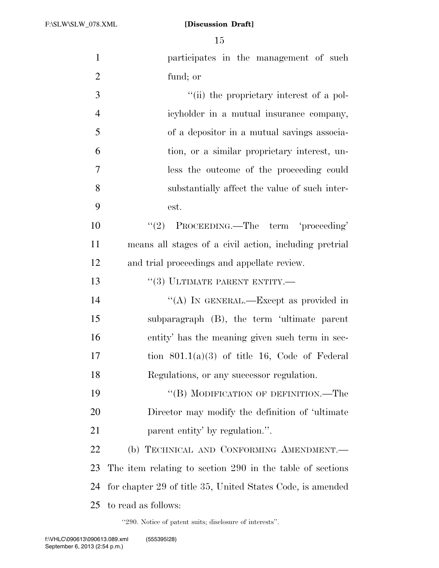F:\SLW\SLW\_078.XML

## **[Discussion Draft]**

| $\mathbf{1}$   | participates in the management of such                     |
|----------------|------------------------------------------------------------|
| $\overline{2}$ | fund; or                                                   |
| 3              | "(ii) the proprietary interest of a pol-                   |
| $\overline{4}$ | icyholder in a mutual insurance company,                   |
| 5              | of a depositor in a mutual savings associa-                |
| 6              | tion, or a similar proprietary interest, un-               |
| $\overline{7}$ | less the outcome of the proceeding could                   |
| 8              | substantially affect the value of such inter-              |
| 9              | est.                                                       |
| 10             | "(2) PROCEEDING.—The term 'proceeding'                     |
| 11             | means all stages of a civil action, including pretrial     |
| 12             | and trial proceedings and appellate review.                |
| 13             | $``(3)$ ULTIMATE PARENT ENTITY.—                           |
| 14             | "(A) IN GENERAL.—Except as provided in                     |
| 15             | subparagraph (B), the term 'ultimate parent                |
| 16             | entity' has the meaning given such term in sec-            |
| 17             | tion $801.1(a)(3)$ of title 16, Code of Federal            |
| 18             | Regulations, or any successor regulation.                  |
| 19             | "(B) MODIFICATION OF DEFINITION.—The                       |
| 20             | Director may modify the definition of 'ultimate            |
| 21             | parent entity' by regulation.".                            |
| 22             | (b) TECHNICAL AND CONFORMING AMENDMENT.                    |
| 23             | The item relating to section 290 in the table of sections  |
| 24             | for chapter 29 of title 35, United States Code, is amended |
| 25             | to read as follows:                                        |

''290. Notice of patent suits; disclosure of interests''.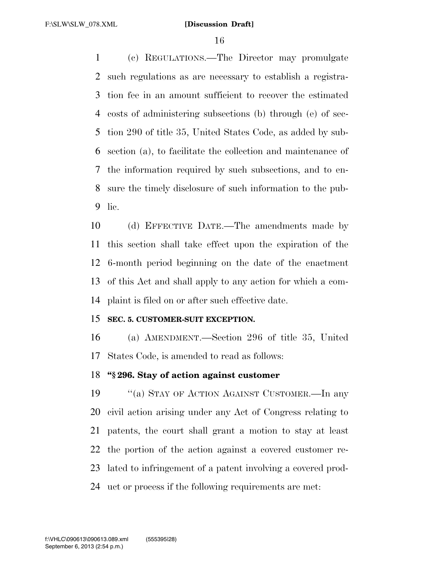(c) REGULATIONS.—The Director may promulgate such regulations as are necessary to establish a registra- tion fee in an amount sufficient to recover the estimated costs of administering subsections (b) through (e) of sec- tion 290 of title 35, United States Code, as added by sub- section (a), to facilitate the collection and maintenance of the information required by such subsections, and to en- sure the timely disclosure of such information to the pub-lic.

 (d) EFFECTIVE DATE.—The amendments made by this section shall take effect upon the expiration of the 6-month period beginning on the date of the enactment of this Act and shall apply to any action for which a com-plaint is filed on or after such effective date.

## **SEC. 5. CUSTOMER-SUIT EXCEPTION.**

 (a) AMENDMENT.—Section 296 of title 35, United States Code, is amended to read as follows:

## **''§ 296. Stay of action against customer**

 ''(a) STAY OF ACTION AGAINST CUSTOMER.—In any civil action arising under any Act of Congress relating to patents, the court shall grant a motion to stay at least the portion of the action against a covered customer re- lated to infringement of a patent involving a covered prod-uct or process if the following requirements are met: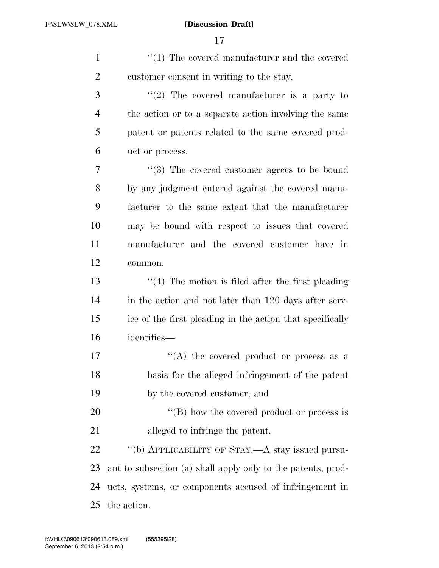| $\mathbf{1}$   | $\lq(1)$ The covered manufacturer and the covered            |
|----------------|--------------------------------------------------------------|
| $\overline{2}$ | customer consent in writing to the stay.                     |
| 3              | "(2) The covered manufacturer is a party to                  |
| $\overline{4}$ | the action or to a separate action involving the same        |
| 5              | patent or patents related to the same covered prod-          |
| 6              | uct or process.                                              |
| $\overline{7}$ | $\cdot\cdot\cdot(3)$ The covered customer agrees to be bound |
| 8              | by any judgment entered against the covered manu-            |
| 9              | facturer to the same extent that the manufacturer            |
| 10             | may be bound with respect to issues that covered             |
| 11             | manufacturer and the covered customer have in                |
| 12             | common.                                                      |
| 13             | $\lq(4)$ The motion is filed after the first pleading        |
| 14             | in the action and not later than 120 days after serv-        |
| 15             | ice of the first pleading in the action that specifically    |
| 16             | identifies—                                                  |
| 17             | "(A) the covered product or process as a                     |
| 18             | basis for the alleged infringement of the patent             |
| 19             | by the covered customer; and                                 |
| 20             | $\lq\lq$ (B) how the covered product or process is           |
| 21             | alleged to infringe the patent.                              |
| 22             | "(b) APPLICABILITY OF STAY.—A stay issued pursu-             |
| 23             | ant to subsection (a) shall apply only to the patents, prod- |
| 24             | ucts, systems, or components accused of infringement in      |
| 25             | the action.                                                  |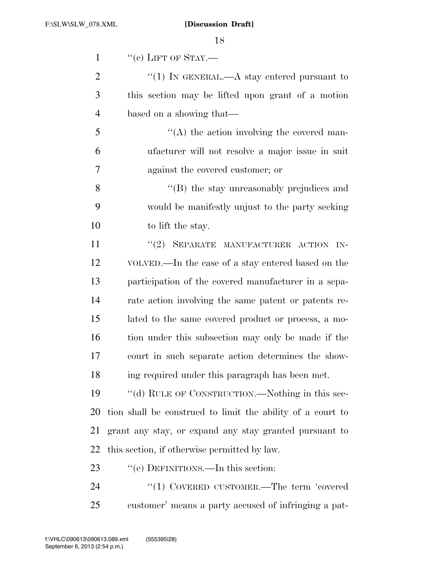| $\mathbf{1}$   | $``(e)$ LIFT OF STAY.—                                     |
|----------------|------------------------------------------------------------|
| $\overline{2}$ | "(1) In GENERAL.—A stay entered pursuant to                |
| 3              | this section may be lifted upon grant of a motion          |
| $\overline{4}$ | based on a showing that—                                   |
| 5              | $\lq\lq$ the action involving the covered man-             |
| 6              | ufacturer will not resolve a major issue in suit           |
| 7              | against the covered customer; or                           |
| 8              | "(B) the stay unreasonably prejudices and                  |
| 9              | would be manifestly unjust to the party seeking            |
| 10             | to lift the stay.                                          |
| 11             | "(2) SEPARATE MANUFACTURER ACTION IN-                      |
| 12             | VOLVED.—In the case of a stay entered based on the         |
| 13             | participation of the covered manufacturer in a sepa-       |
| 14             | rate action involving the same patent or patents re-       |
| 15             | lated to the same covered product or process, a mo-        |
| 16             | tion under this subsection may only be made if the         |
| 17             | court in such separate action determines the show-         |
| 18             | ing required under this paragraph has been met.            |
| 19             | "(d) RULE OF CONSTRUCTION.—Nothing in this sec-            |
| 20             | tion shall be construed to limit the ability of a court to |
| 21             | grant any stay, or expand any stay granted pursuant to     |
| 22             | this section, if otherwise permitted by law.               |
| 23             | "(e) DEFINITIONS.—In this section:                         |
| 24             | "(1) COVERED CUSTOMER.—The term 'covered                   |
| 25             | customer' means a party accused of infringing a pat-       |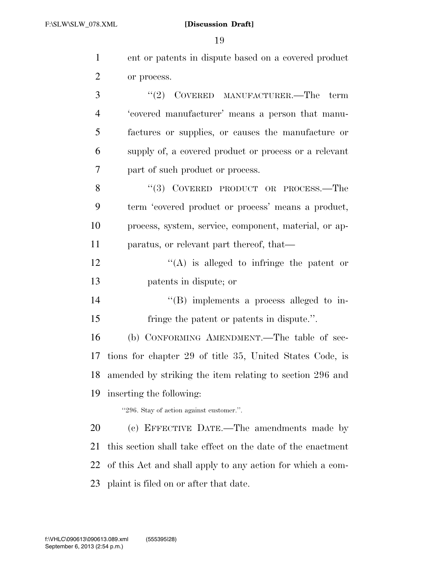| $\mathbf{1}$   | ent or patents in dispute based on a covered product        |
|----------------|-------------------------------------------------------------|
| $\overline{2}$ | or process.                                                 |
| 3              | "(2) COVERED MANUFACTURER.—The term                         |
| $\overline{4}$ | 'covered manufacturer' means a person that manu-            |
| 5              | factures or supplies, or causes the manufacture or          |
| 6              | supply of, a covered product or process or a relevant       |
| 7              | part of such product or process.                            |
| 8              | "(3) COVERED PRODUCT OR PROCESS.—The                        |
| 9              | term 'eovered product or process' means a product,          |
| 10             | process, system, service, component, material, or ap-       |
| 11             | paratus, or relevant part thereof, that—                    |
| 12             | $\lq\lq$ is alleged to infringe the patent or               |
| 13             | patents in dispute; or                                      |
| 14             | $\lq\lq$ (B) implements a process alleged to in-            |
| 15             | fringe the patent or patents in dispute.".                  |
| 16             | (b) CONFORMING AMENDMENT.—The table of sec-                 |
| 17             | tions for chapter 29 of title 35, United States Code, is    |
| 18             | amended by striking the item relating to section 296 and    |
| 19             | inserting the following:                                    |
|                | "296. Stay of action against customer.".                    |
| 20             | (c) EFFECTIVE DATE.—The amendments made by                  |
| 21             | this section shall take effect on the date of the enactment |
| 22             | of this Act and shall apply to any action for which a com-  |
| 23             | plaint is filed on or after that date.                      |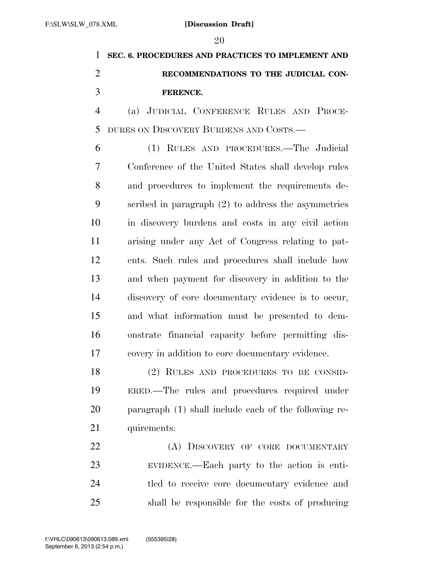## **SEC. 6. PROCEDURES AND PRACTICES TO IMPLEMENT AND RECOMMENDATIONS TO THE JUDICIAL CON-FERENCE.**

 (a) JUDICIAL CONFERENCE RULES AND PROCE-DURES ON DISCOVERY BURDENS AND COSTS.—

 (1) RULES AND PROCEDURES.—The Judicial Conference of the United States shall develop rules and procedures to implement the requirements de- scribed in paragraph (2) to address the asymmetries in discovery burdens and costs in any civil action arising under any Act of Congress relating to pat- ents. Such rules and procedures shall include how and when payment for discovery in addition to the discovery of core documentary evidence is to occur, and what information must be presented to dem- onstrate financial capacity before permitting dis-covery in addition to core documentary evidence.

 (2) RULES AND PROCEDURES TO BE CONSID- ERED.—The rules and procedures required under paragraph (1) shall include each of the following re-21 quirements:

22 (A) DISCOVERY OF CORE DOCUMENTARY EVIDENCE.—Each party to the action is enti- tled to receive core documentary evidence and shall be responsible for the costs of producing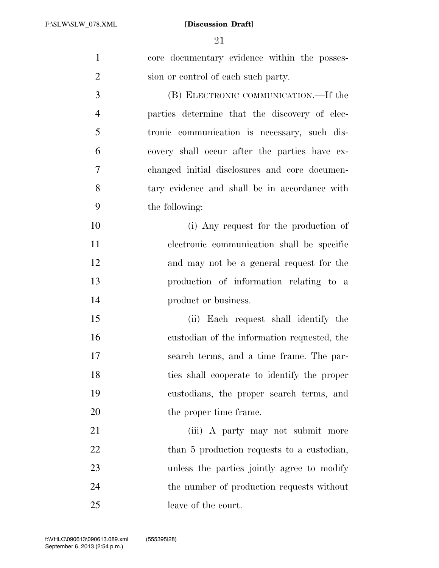core documentary evidence within the posses-2 sion or control of each such party. (B) ELECTRONIC COMMUNICATION.—If the parties determine that the discovery of elec- tronic communication is necessary, such dis- covery shall occur after the parties have ex- changed initial disclosures and core documen- tary evidence and shall be in accordance with the following: (i) Any request for the production of electronic communication shall be specific and may not be a general request for the production of information relating to a **product or business.** 

 (ii) Each request shall identify the custodian of the information requested, the search terms, and a time frame. The par- ties shall cooperate to identify the proper custodians, the proper search terms, and 20 the proper time frame.

21 (iii) A party may not submit more 22 than 5 production requests to a custodian, unless the parties jointly agree to modify 24 the number of production requests without leave of the court.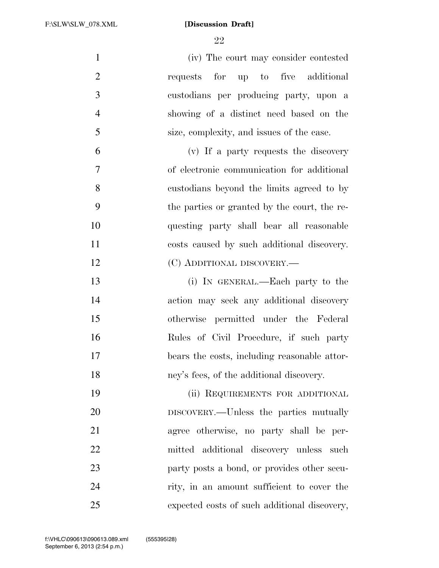(iv) The court may consider contested 2 requests for up to five additional custodians per producing party, upon a showing of a distinct need based on the size, complexity, and issues of the case. (v) If a party requests the discovery of electronic communication for additional custodians beyond the limits agreed to by the parties or granted by the court, the re- questing party shall bear all reasonable costs caused by such additional discovery. 12 (C) ADDITIONAL DISCOVERY.— (i) IN GENERAL.—Each party to the

 action may seek any additional discovery otherwise permitted under the Federal Rules of Civil Procedure, if such party bears the costs, including reasonable attor-ney's fees, of the additional discovery.

19 (ii) REQUIREMENTS FOR ADDITIONAL DISCOVERY.—Unless the parties mutually agree otherwise, no party shall be per- mitted additional discovery unless such **party posts a bond, or provides other secu-** rity, in an amount sufficient to cover the expected costs of such additional discovery,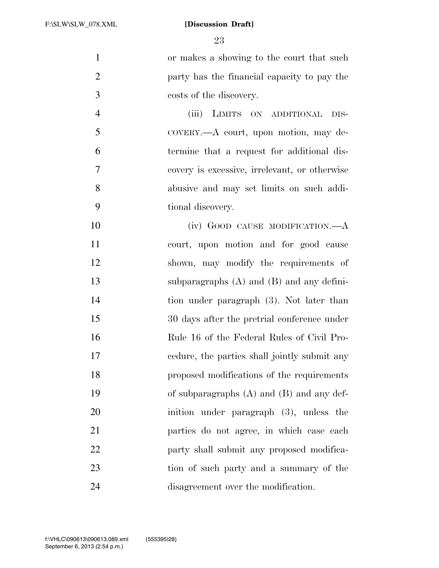or makes a showing to the court that such party has the financial capacity to pay the costs of the discovery.

 (iii) LIMITS ON ADDITIONAL DIS- COVERY.—A court, upon motion, may de- termine that a request for additional dis- covery is excessive, irrelevant, or otherwise abusive and may set limits on such addi-tional discovery.

10 (iv) GOOD CAUSE MODIFICATION.—A court, upon motion and for good cause shown, may modify the requirements of subparagraphs (A) and (B) and any defini- tion under paragraph (3). Not later than 30 days after the pretrial conference under Rule 16 of the Federal Rules of Civil Pro- cedure, the parties shall jointly submit any proposed modifications of the requirements of subparagraphs (A) and (B) and any def- inition under paragraph (3), unless the parties do not agree, in which case each 22 party shall submit any proposed modifica- tion of such party and a summary of the disagreement over the modification.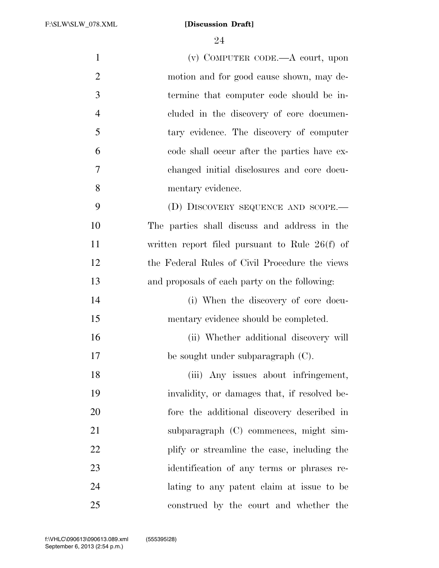| $\mathbf{1}$   | $(v)$ COMPUTER CODE.—A court, upon               |
|----------------|--------------------------------------------------|
|                |                                                  |
| $\overline{2}$ | motion and for good cause shown, may de-         |
| 3              | termine that computer code should be in-         |
| $\overline{4}$ | cluded in the discovery of core documen-         |
| 5              | tary evidence. The discovery of computer         |
| 6              | code shall occur after the parties have ex-      |
| 7              | changed initial disclosures and core docu-       |
| 8              | mentary evidence.                                |
| 9              | (D) DISCOVERY SEQUENCE AND SCOPE.-               |
| 10             | The parties shall discuss and address in the     |
| 11             | written report filed pursuant to Rule $26(f)$ of |
| 12             | the Federal Rules of Civil Procedure the views   |
| 13             | and proposals of each party on the following:    |
| 14             | (i) When the discovery of core docu-             |
| 15             | mentary evidence should be completed.            |
| 16             | (ii) Whether additional discovery will           |
| 17             | be sought under subparagraph $(C)$ .             |
| 18             | (iii) Any issues about infringement,             |
| 19             | invalidity, or damages that, if resolved be-     |
| 20             | fore the additional discovery described in       |
| 21             | subparagraph (C) commences, might sim-           |
| 22             | plify or streamline the case, including the      |
| 23             | identification of any terms or phrases re-       |
| 24             | lating to any patent claim at issue to be        |
| 25             | construed by the court and whether the           |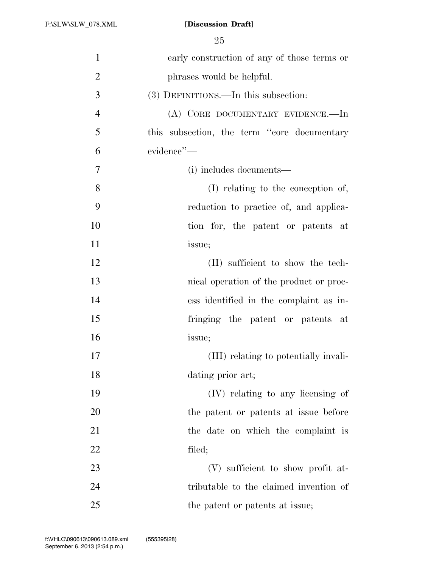| $\mathbf{1}$   | early construction of any of those terms or |
|----------------|---------------------------------------------|
| $\overline{2}$ | phrases would be helpful.                   |
| 3              | (3) DEFINITIONS.—In this subsection:        |
| $\overline{4}$ | (A) CORE DOCUMENTARY EVIDENCE.—In           |
| 5              | this subsection, the term "core documentary |
| 6              | evidence"-                                  |
| $\overline{7}$ | (i) includes documents—                     |
| 8              | (I) relating to the conception of,          |
| 9              | reduction to practice of, and applica-      |
| 10             | tion for, the patent or patents at          |
| 11             | issue;                                      |
| 12             | (II) sufficient to show the tech-           |
| 13             | nical operation of the product or proc-     |
| 14             | ess identified in the complaint as in-      |
| 15             | fringing the patent or patents at           |
| 16             | issue;                                      |
| 17             | (III) relating to potentially invali-       |
| 18             | dating prior art;                           |
| 19             | (IV) relating to any licensing of           |
| 20             | the patent or patents at issue before       |
| 21             | the date on which the complaint is          |
| 22             | filed;                                      |
| 23             | (V) sufficient to show profit at-           |
| 24             | tributable to the claimed invention of      |
| 25             | the patent or patents at issue;             |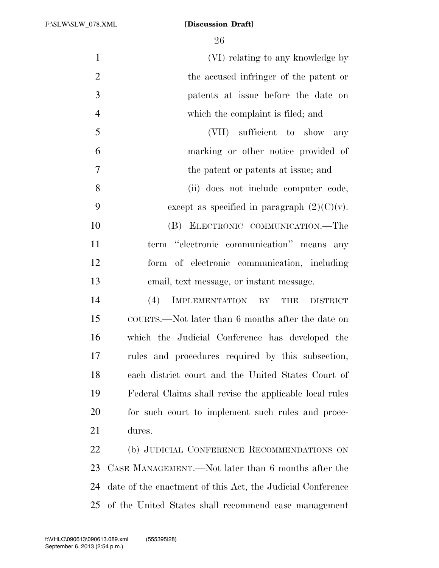(VI) relating to any knowledge by the accused infringer of the patent or patents at issue before the date on which the complaint is filed; and (VII) sufficient to show any marking or other notice provided of the patent or patents at issue; and (ii) does not include computer code, 9 except as specified in paragraph  $(2)(C)(v)$ . (B) ELECTRONIC COMMUNICATION.—The 11 term "electronic communication" means any form of electronic communication, including email, text message, or instant message. (4) IMPLEMENTATION BY THE DISTRICT COURTS.—Not later than 6 months after the date on which the Judicial Conference has developed the rules and procedures required by this subsection, each district court and the United States Court of Federal Claims shall revise the applicable local rules for such court to implement such rules and proce- dures. 22 (b) JUDICIAL CONFERENCE RECOMMENDATIONS ON CASE MANAGEMENT.—Not later than 6 months after the date of the enactment of this Act, the Judicial Conference

of the United States shall recommend case management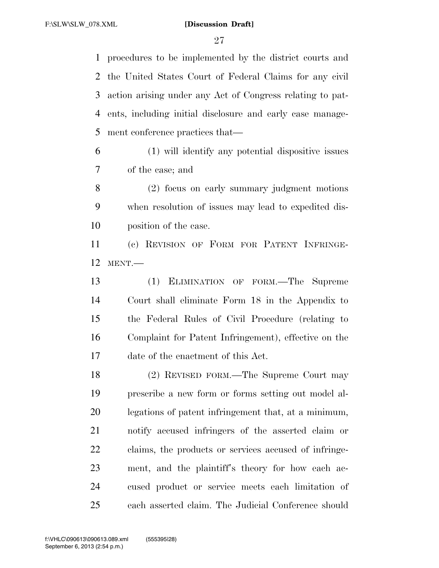procedures to be implemented by the district courts and the United States Court of Federal Claims for any civil action arising under any Act of Congress relating to pat- ents, including initial disclosure and early case manage-ment conference practices that—

 (1) will identify any potential dispositive issues of the case; and

 (2) focus on early summary judgment motions when resolution of issues may lead to expedited dis-position of the case.

 (c) REVISION OF FORM FOR PATENT INFRINGE-MENT.—

 (1) ELIMINATION OF FORM.—The Supreme Court shall eliminate Form 18 in the Appendix to the Federal Rules of Civil Procedure (relating to Complaint for Patent Infringement), effective on the date of the enactment of this Act.

 (2) REVISED FORM.—The Supreme Court may prescribe a new form or forms setting out model al- legations of patent infringement that, at a minimum, notify accused infringers of the asserted claim or claims, the products or services accused of infringe- ment, and the plaintiff's theory for how each ac- cused product or service meets each limitation of each asserted claim. The Judicial Conference should

September 6, 2013 (2:54 p.m.) f:\VHLC\090613\090613.089.xml (555395|28)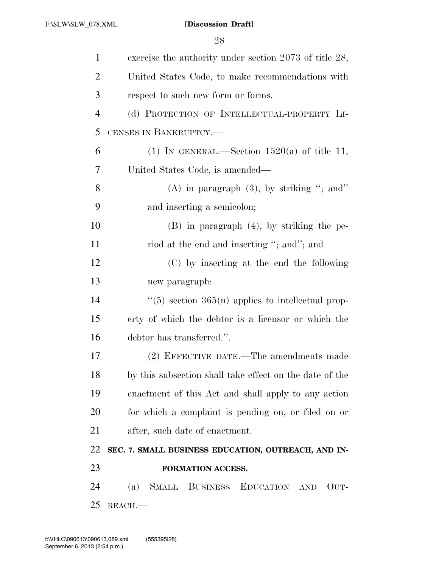| $\mathbf{1}$   | exercise the authority under section 2073 of title 28,  |
|----------------|---------------------------------------------------------|
| $\overline{2}$ | United States Code, to make recommendations with        |
| 3              | respect to such new form or forms.                      |
| $\overline{4}$ | (d) PROTECTION OF INTELLECTUAL-PROPERTY LI-             |
| 5              | CENSES IN BANKRUPTCY.-                                  |
| 6              | (1) IN GENERAL.—Section $1520(a)$ of title 11,          |
| 7              | United States Code, is amended—                         |
| 8              | $(A)$ in paragraph $(3)$ , by striking "; and"          |
| 9              | and inserting a semicolon;                              |
| 10             | $(B)$ in paragraph $(4)$ , by striking the pe-          |
| 11             | riod at the end and inserting "; and"; and              |
| 12             | (C) by inserting at the end the following               |
| 13             | new paragraph:                                          |
| 14             | $\lq(5)$ section 365(n) applies to intellectual prop-   |
| 15             | erty of which the debtor is a licensor or which the     |
| 16             | debtor has transferred.".                               |
| 17             | (2) EFFECTIVE DATE.—The amendments made                 |
| 18             | by this subsection shall take effect on the date of the |
| 19             | enactment of this Act and shall apply to any action     |
| 20             | for which a complaint is pending on, or filed on or     |
| 21             | after, such date of enactment.                          |
| 22             | SEC. 7. SMALL BUSINESS EDUCATION, OUTREACH, AND IN-     |
| 23             | FORMATION ACCESS.                                       |
| 24             | SMALL BUSINESS EDUCATION AND<br>(a)<br>OUT-             |
| 25             | REACH.                                                  |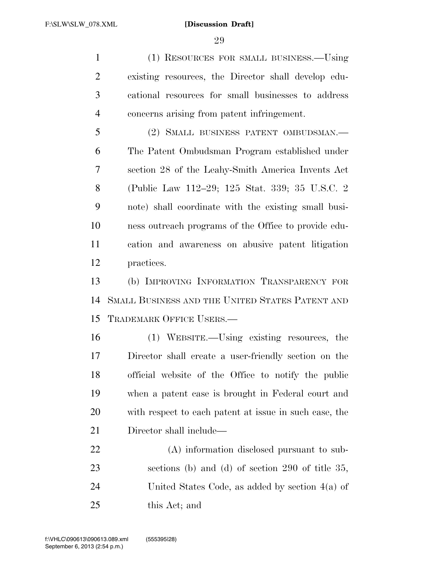(1) RESOURCES FOR SMALL BUSINESS.—Using existing resources, the Director shall develop edu- cational resources for small businesses to address concerns arising from patent infringement.

 (2) SMALL BUSINESS PATENT OMBUDSMAN.— The Patent Ombudsman Program established under section 28 of the Leahy-Smith America Invents Act (Public Law 112–29; 125 Stat. 339; 35 U.S.C. 2 note) shall coordinate with the existing small busi- ness outreach programs of the Office to provide edu- cation and awareness on abusive patent litigation practices.

 (b) IMPROVING INFORMATION TRANSPARENCY FOR SMALL BUSINESS AND THE UNITED STATES PATENT AND TRADEMARK OFFICE USERS.—

 (1) WEBSITE.—Using existing resources, the Director shall create a user-friendly section on the official website of the Office to notify the public when a patent case is brought in Federal court and with respect to each patent at issue in such case, the Director shall include—

 (A) information disclosed pursuant to sub- sections (b) and (d) of section 290 of title 35, United States Code, as added by section 4(a) of this Act; and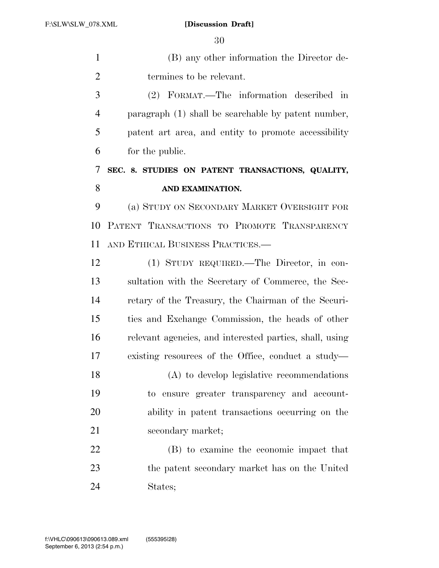(B) any other information the Director de-termines to be relevant.

 (2) FORMAT.—The information described in paragraph (1) shall be searchable by patent number, patent art area, and entity to promote accessibility for the public.

## **SEC. 8. STUDIES ON PATENT TRANSACTIONS, QUALITY, AND EXAMINATION.**

 (a) STUDY ON SECONDARY MARKET OVERSIGHT FOR PATENT TRANSACTIONS TO PROMOTE TRANSPARENCY AND ETHICAL BUSINESS PRACTICES.—

 (1) STUDY REQUIRED.—The Director, in con- sultation with the Secretary of Commerce, the Sec- retary of the Treasury, the Chairman of the Securi- ties and Exchange Commission, the heads of other relevant agencies, and interested parties, shall, using existing resources of the Office, conduct a study—

 (A) to develop legislative recommendations to ensure greater transparency and account- ability in patent transactions occurring on the 21 secondary market;

 (B) to examine the economic impact that the patent secondary market has on the United States;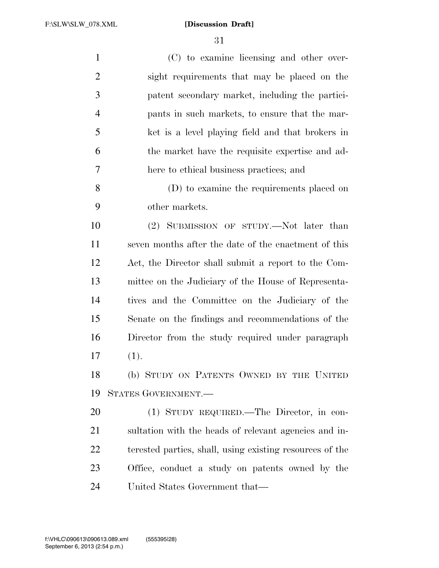$\overline{2}$ 

|                | ðТ                                                    |
|----------------|-------------------------------------------------------|
| $\mathbf{1}$   | (C) to examine licensing and other over-              |
| $\overline{2}$ | sight requirements that may be placed on the          |
| 3              | patent secondary market, including the partici-       |
| $\overline{4}$ | pants in such markets, to ensure that the mar-        |
| 5              | ket is a level playing field and that brokers in      |
| 6              | the market have the requisite expertise and ad-       |
| 7              | here to ethical business practices; and               |
| 8              | (D) to examine the requirements placed on             |
| 9              | other markets.                                        |
| 10             | (2) SUBMISSION OF STUDY.—Not later than               |
| 11             | seven months after the date of the enactment of this  |
| 12             | Act, the Director shall submit a report to the Com-   |
| 13             | mittee on the Judiciary of the House of Representa-   |
| 14             | tives and the Committee on the Judiciary of the       |
| 15             | Senate on the findings and recommendations of the     |
| 16             | Director from the study required under paragraph      |
| 17             | (1).                                                  |
| 18             | (b) STUDY ON PATENTS OWNED BY THE UNITED              |
| 19             | STATES GOVERNMENT.                                    |
| 20             | (1) STUDY REQUIRED.—The Director, in con-             |
| 21             | sultation with the heads of relevant agencies and in- |

 sultation with the heads of relevant agencies and in- terested parties, shall, using existing resources of the Office, conduct a study on patents owned by the United States Government that—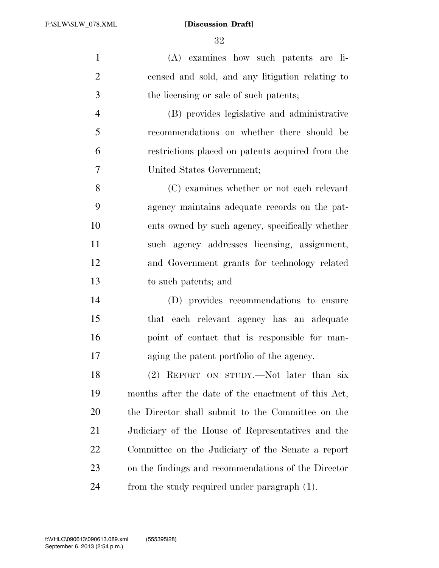(A) examines how such patents are li- censed and sold, and any litigation relating to the licensing or sale of such patents;

 (B) provides legislative and administrative recommendations on whether there should be restrictions placed on patents acquired from the United States Government;

 (C) examines whether or not each relevant agency maintains adequate records on the pat- ents owned by such agency, specifically whether such agency addresses licensing, assignment, and Government grants for technology related to such patents; and

 (D) provides recommendations to ensure that each relevant agency has an adequate point of contact that is responsible for man-aging the patent portfolio of the agency.

 (2) REPORT ON STUDY.—Not later than six months after the date of the enactment of this Act, the Director shall submit to the Committee on the Judiciary of the House of Representatives and the Committee on the Judiciary of the Senate a report on the findings and recommendations of the Director from the study required under paragraph (1).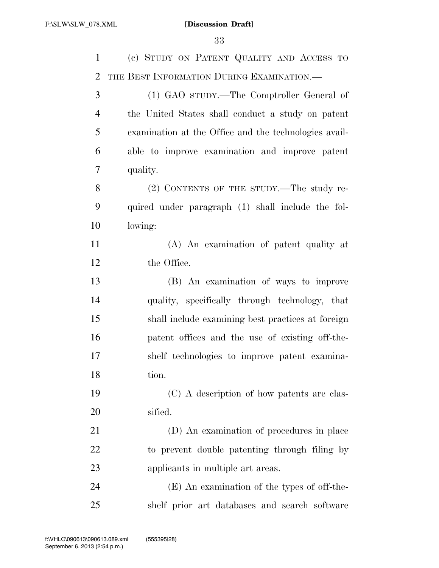| $\mathbf{1}$   | (c) STUDY ON PATENT QUALITY AND ACCESS TO             |
|----------------|-------------------------------------------------------|
| $\overline{2}$ | THE BEST INFORMATION DURING EXAMINATION.—             |
| 3              | (1) GAO sTUDY.—The Comptroller General of             |
| $\overline{4}$ | the United States shall conduct a study on patent     |
| 5              | examination at the Office and the technologies avail- |
| 6              | able to improve examination and improve patent        |
| 7              | quality.                                              |
| 8              | (2) CONTENTS OF THE STUDY.—The study re-              |
| 9              | quired under paragraph (1) shall include the fol-     |
| 10             | lowing:                                               |
| 11             | (A) An examination of patent quality at               |
| 12             | the Office.                                           |
| 13             | (B) An examination of ways to improve                 |
| 14             | quality, specifically through technology, that        |
| 15             | shall include examining best practices at foreign     |
| 16             | patent offices and the use of existing off-the-       |
| 17             | shelf technologies to improve patent examina-         |
| 18             | tion.                                                 |
| 19             | (C) A description of how patents are clas-            |
| 20             | sified.                                               |
| 21             | (D) An examination of procedures in place             |
| 22             | to prevent double patenting through filing by         |
| 23             | applicants in multiple art areas.                     |
| 24             | (E) An examination of the types of off-the-           |
| 25             | shelf prior art databases and search software         |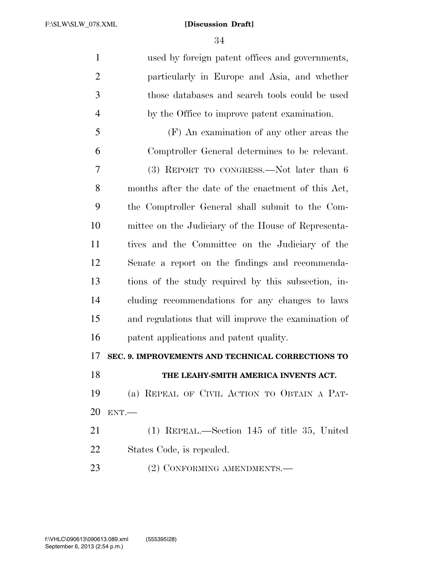used by foreign patent offices and governments, particularly in Europe and Asia, and whether those databases and search tools could be used by the Office to improve patent examination. (F) An examination of any other areas the Comptroller General determines to be relevant. (3) REPORT TO CONGRESS.—Not later than 6 months after the date of the enactment of this Act, the Comptroller General shall submit to the Com- mittee on the Judiciary of the House of Representa- tives and the Committee on the Judiciary of the Senate a report on the findings and recommenda- tions of the study required by this subsection, in- cluding recommendations for any changes to laws and regulations that will improve the examination of patent applications and patent quality. **SEC. 9. IMPROVEMENTS AND TECHNICAL CORRECTIONS TO THE LEAHY-SMITH AMERICA INVENTS ACT.**  (a) REPEAL OF CIVIL ACTION TO OBTAIN A PAT- ENT.— (1) REPEAL.—Section 145 of title 35, United States Code, is repealed. 23 (2) CONFORMING AMENDMENTS.—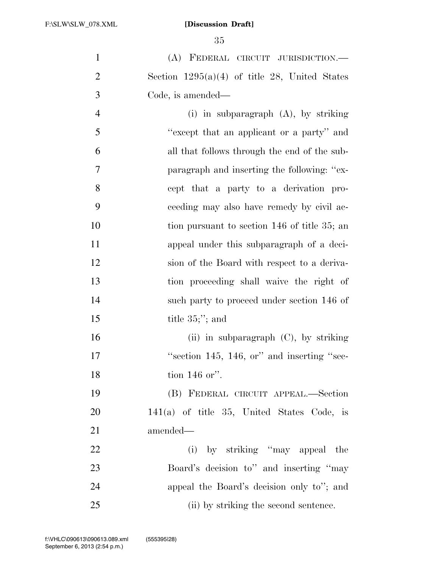(A) FEDERAL CIRCUIT JURISDICTION.— 2 Section  $1295(a)(4)$  of title 28, United States Code, is amended—

 (i) in subparagraph (A), by striking ''except that an applicant or a party'' and all that follows through the end of the sub- paragraph and inserting the following: ''ex- cept that a party to a derivation pro- ceeding may also have remedy by civil ac-10 tion pursuant to section 146 of title 35; an appeal under this subparagraph of a deci- sion of the Board with respect to a deriva- tion proceeding shall waive the right of such party to proceed under section 146 of 15 title 35;"; and 16 (ii) in subparagraph (C), by striking 17 "Section 145, 146, or" and inserting "sec-tion 146 or''.

 (B) FEDERAL CIRCUIT APPEAL.—Section 141(a) of title 35, United States Code, is amended—

22 (i) by striking "may appeal the Board's decision to'' and inserting ''may appeal the Board's decision only to''; and (ii) by striking the second sentence.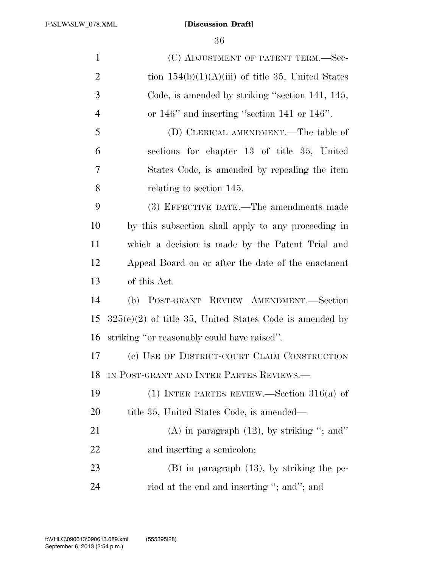| $\mathbf{1}$   | (C) ADJUSTMENT OF PATENT TERM.—Sec-                       |
|----------------|-----------------------------------------------------------|
| $\overline{2}$ | tion $154(b)(1)(A)(iii)$ of title 35, United States       |
| 3              | Code, is amended by striking "section 141, 145,           |
| $\overline{4}$ | or $146$ " and inserting "section 141 or $146$ ".         |
| 5              | (D) CLERICAL AMENDMENT.—The table of                      |
| 6              | sections for chapter 13 of title 35, United               |
| $\tau$         | States Code, is amended by repealing the item             |
| 8              | relating to section 145.                                  |
| 9              | (3) EFFECTIVE DATE.—The amendments made                   |
| 10             | by this subsection shall apply to any proceeding in       |
| 11             | which a decision is made by the Patent Trial and          |
| 12             | Appeal Board on or after the date of the enactment        |
| 13             | of this Act.                                              |
| 14             | (b) POST-GRANT REVIEW AMENDMENT.-Section                  |
| 15             | $325(e)(2)$ of title 35, United States Code is amended by |
| 16             | striking "or reasonably could have raised".               |
| 17             | (c) USE OF DISTRICT-COURT CLAIM CONSTRUCTION              |
| 18             | IN POST-GRANT AND INTER PARTES REVIEWS.                   |
| 19             | (1) INTER PARTES REVIEW.—Section $316(a)$ of              |
| 20             | title 35, United States Code, is amended—                 |
| 21             | $(A)$ in paragraph $(12)$ , by striking "; and"           |
| 22             | and inserting a semicolon;                                |
| 23             | $(B)$ in paragraph $(13)$ , by striking the pe-           |
| 24             | riod at the end and inserting "; and"; and                |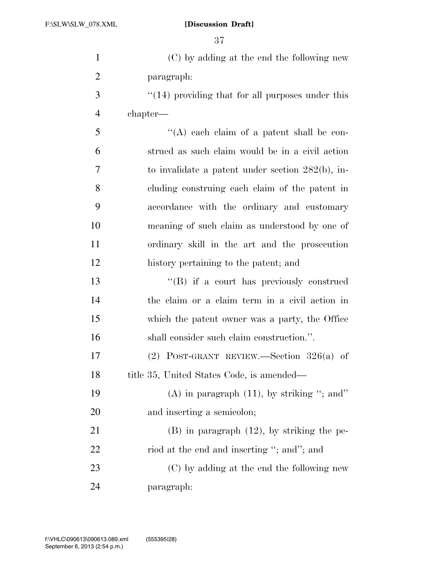| $\mathbf{1}$   | (C) by adding at the end the following new              |
|----------------|---------------------------------------------------------|
| $\overline{2}$ | paragraph:                                              |
| 3              | $\cdot$ (14) providing that for all purposes under this |
| $\overline{4}$ | chapter—                                                |
| 5              | "(A) each claim of a patent shall be con-               |
| 6              | strued as such claim would be in a civil action         |
| $\overline{7}$ | to invalidate a patent under section $282(b)$ , in-     |
| 8              | cluding construing each claim of the patent in          |
| 9              | accordance with the ordinary and customary              |
| 10             | meaning of such claim as understood by one of           |
| 11             | ordinary skill in the art and the prosecution           |
| 12             | history pertaining to the patent; and                   |
| 13             | "(B) if a court has previously construed                |
| 14             | the claim or a claim term in a civil action in          |
| 15             | which the patent owner was a party, the Office          |
| 16             | shall consider such claim construction.".               |
| 17             | $(2)$ POST-GRANT REVIEW.—Section 326(a) of              |
| 18             | title 35, United States Code, is amended—               |
| 19             | $(A)$ in paragraph $(11)$ , by striking "; and"         |
| 20             | and inserting a semicolon;                              |
| 21             | $(B)$ in paragraph $(12)$ , by striking the pe-         |
| 22             | riod at the end and inserting "; and"; and              |
| 23             | (C) by adding at the end the following new              |
| 24             | paragraph:                                              |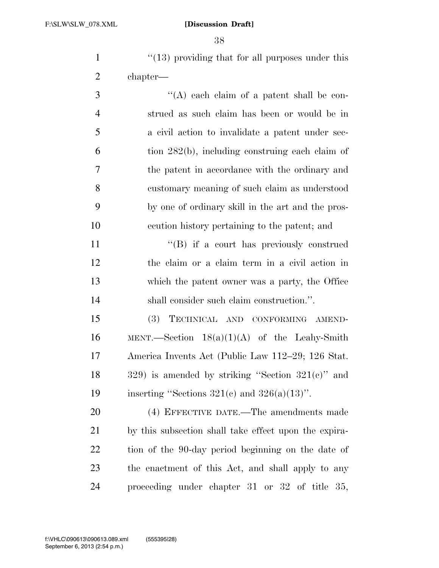1 ''(13) providing that for all purposes under this chapter—

3 ''(A) each claim of a patent shall be con- strued as such claim has been or would be in a civil action to invalidate a patent under sec- tion 282(b), including construing each claim of the patent in accordance with the ordinary and customary meaning of such claim as understood by one of ordinary skill in the art and the pros-ecution history pertaining to the patent; and

11 ""(B) if a court has previously construed the claim or a claim term in a civil action in which the patent owner was a party, the Office shall consider such claim construction.''.

 (3) TECHNICAL AND CONFORMING AMEND-16 MENT.—Section  $18(a)(1)(A)$  of the Leahy-Smith America Invents Act (Public Law 112–29; 126 Stat. 18 is amended by striking "Section  $321(e)$ " and 19 inserting "Sections  $321(c)$  and  $326(a)(13)$ ".

 (4) EFFECTIVE DATE.—The amendments made by this subsection shall take effect upon the expira- tion of the 90-day period beginning on the date of the enactment of this Act, and shall apply to any proceeding under chapter 31 or 32 of title 35,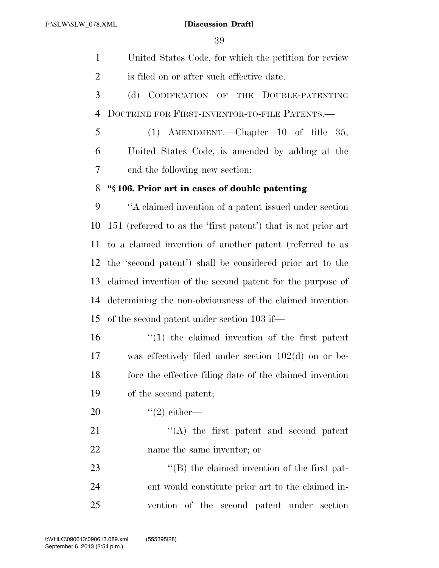United States Code, for which the petition for review 2 is filed on or after such effective date.

 (d) CODIFICATION OF THE DOUBLE-PATENTING DOCTRINE FOR FIRST-INVENTOR-TO-FILE PATENTS.—

 (1) AMENDMENT.—Chapter 10 of title 35, United States Code, is amended by adding at the end the following new section:

## **''§ 106. Prior art in cases of double patenting**

 ''A claimed invention of a patent issued under section 151 (referred to as the 'first patent') that is not prior art to a claimed invention of another patent (referred to as the 'second patent') shall be considered prior art to the claimed invention of the second patent for the purpose of determining the non-obviousness of the claimed invention of the second patent under section 103 if—

 ''(1) the claimed invention of the first patent was effectively filed under section 102(d) on or be- fore the effective filing date of the claimed invention of the second patent;

20  $\text{``(2) either}$ 

21 ''(A) the first patent and second patent name the same inventor; or

23  $\langle$  (B) the claimed invention of the first pat- ent would constitute prior art to the claimed in-vention of the second patent under section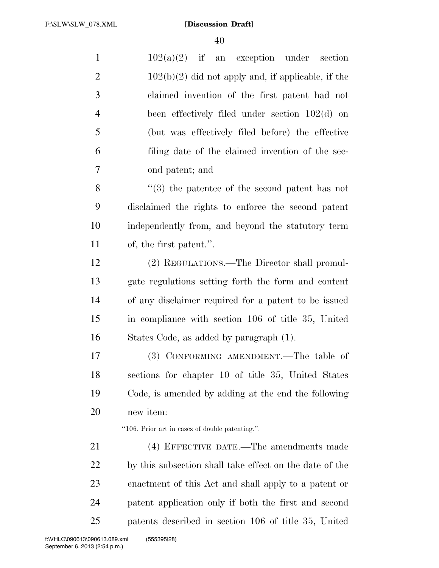| $\mathbf{1}$   | $102(a)(2)$ if<br>an exception under<br>section                |
|----------------|----------------------------------------------------------------|
| $\overline{2}$ | $102(b)(2)$ did not apply and, if applicable, if the           |
| 3              | claimed invention of the first patent had not                  |
| $\overline{4}$ | been effectively filed under section $102(d)$ on               |
| 5              | (but was effectively filed before) the effective               |
| 6              | filing date of the claimed invention of the sec-               |
| 7              | ond patent; and                                                |
| 8              | $\cdot\cdot\cdot(3)$ the patentee of the second patent has not |
| 9              | disclaimed the rights to enforce the second patent             |
| 10             | independently from, and beyond the statutory term              |
| 11             | of, the first patent.".                                        |
| 12             | (2) REGULATIONS.—The Director shall promul-                    |
| 13             | gate regulations setting forth the form and content            |
| 14             | of any disclaimer required for a patent to be issued           |
| 15             | in compliance with section 106 of title 35, United             |
| 16             | States Code, as added by paragraph (1).                        |
| 17             | (3) CONFORMING AMENDMENT.—The table of                         |
| 18             | sections for chapter 10 of title 35, United States             |
| 19             | Code, is amended by adding at the end the following            |
| 20             | new item:                                                      |
|                | "106. Prior art in cases of double patenting.".                |
| 21             | (4) EFFECTIVE DATE.—The amendments made                        |
| <u>22</u>      | by this subsection shall take effect on the date of the        |
| 23             | enactment of this Act and shall apply to a patent or           |
| 24             | patent application only if both the first and second           |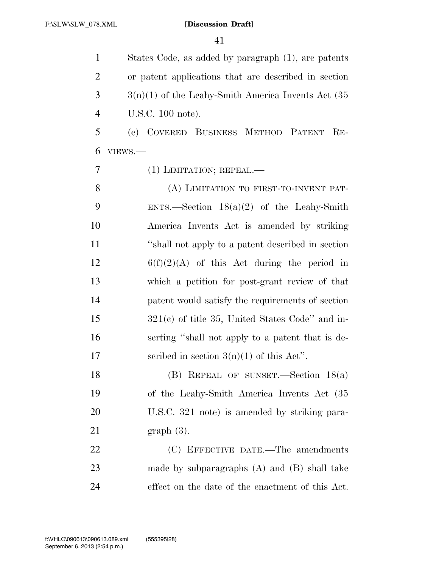States Code, as added by paragraph (1), are patents or patent applications that are described in section  $3 \qquad \qquad 3(n)(1)$  of the Leahy-Smith America Invents Act (35) U.S.C. 100 note).

 (e) COVERED BUSINESS METHOD PATENT RE-VIEWS.—

(1) LIMITATION; REPEAL.—

8 (A) LIMITATION TO FIRST-TO-INVENT PAT- ENTS.—Section 18(a)(2) of the Leahy-Smith America Invents Act is amended by striking ''shall not apply to a patent described in section  $6(f)(2)(A)$  of this Act during the period in which a petition for post-grant review of that patent would satisfy the requirements of section 321(c) of title 35, United States Code'' and in- serting ''shall not apply to a patent that is de-17 secribed in section  $3(n)(1)$  of this Act''.

 (B) REPEAL OF SUNSET.—Section 18(a) of the Leahy-Smith America Invents Act (35 U.S.C. 321 note) is amended by striking para-graph (3).

22 (C) EFFECTIVE DATE.—The amendments made by subparagraphs (A) and (B) shall take effect on the date of the enactment of this Act.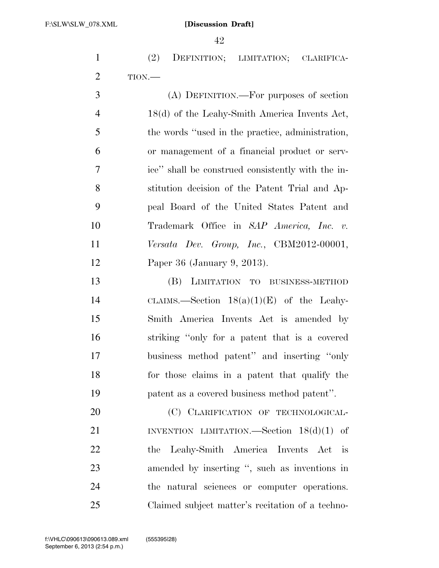(2) DEFINITION; LIMITATION; CLARIFICA-TION.—

 (A) DEFINITION.—For purposes of section 18(d) of the Leahy-Smith America Invents Act, the words ''used in the practice, administration, or management of a financial product or serv- ice'' shall be construed consistently with the in- stitution decision of the Patent Trial and Ap- peal Board of the United States Patent and Trademark Office in *SAP America, Inc. v. Versata Dev. Group, Inc.*, CBM2012-00001, Paper 36 (January 9, 2013).

 (B) LIMITATION TO BUSINESS-METHOD CLAIMS.—Section 18(a)(1)(E) of the Leahy- Smith America Invents Act is amended by striking ''only for a patent that is a covered business method patent'' and inserting ''only for those claims in a patent that qualify the patent as a covered business method patent''.

20 (C) CLARIFICATION OF TECHNOLOGICAL-21 INVENTION LIMITATION.—Section 18(d)(1) of the Leahy-Smith America Invents Act is amended by inserting '', such as inventions in the natural sciences or computer operations. Claimed subject matter's recitation of a techno-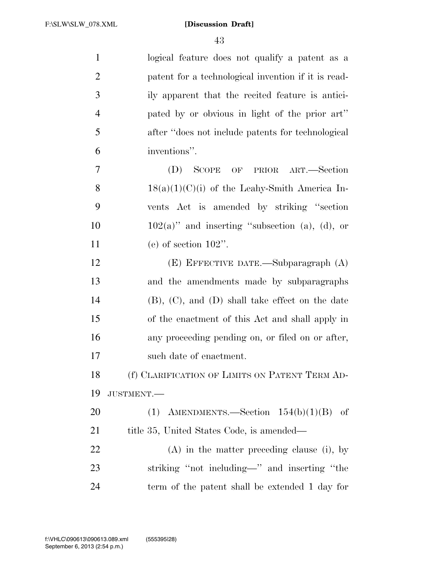| $\mathbf{1}$   | logical feature does not qualify a patent as a          |
|----------------|---------------------------------------------------------|
| $\overline{2}$ | patent for a technological invention if it is read-     |
| 3              | ily apparent that the recited feature is antici-        |
| $\overline{4}$ | pated by or obvious in light of the prior art"          |
| 5              | after "does not include patents for technological       |
| 6              | inventions".                                            |
| 7              | <b>SCOPE</b><br>OF PRIOR ART.—Section<br>(D)            |
| 8              | $18(a)(1)(C)(i)$ of the Leahy-Smith America In-         |
| 9              | vents Act is amended by striking "section"              |
| 10             | $102(a)$ " and inserting "subsection (a), (d), or       |
| 11             | (e) of section $102$ ".                                 |
| 12             | $(E)$ EFFECTIVE DATE.—Subparagraph $(A)$                |
| 13             | and the amendments made by subparagraphs                |
| 14             | $(B)$ , $(C)$ , and $(D)$ shall take effect on the date |
| 15             | of the enactment of this Act and shall apply in         |
| 16             | any proceeding pending on, or filed on or after,        |
| 17             | such date of enactment.                                 |
| 18             | (f) CLARIFICATION OF LIMITS ON PATENT TERM AD-          |
| 19             | JUSTMENT.-                                              |
| 20             | (1) AMENDMENTS.—Section $154(b)(1)(B)$ of               |
| 21             | title 35, United States Code, is amended—               |
| 22             | $(A)$ in the matter preceding clause (i), by            |
| 23             | striking "not including—" and inserting "the            |
| 24             | term of the patent shall be extended 1 day for          |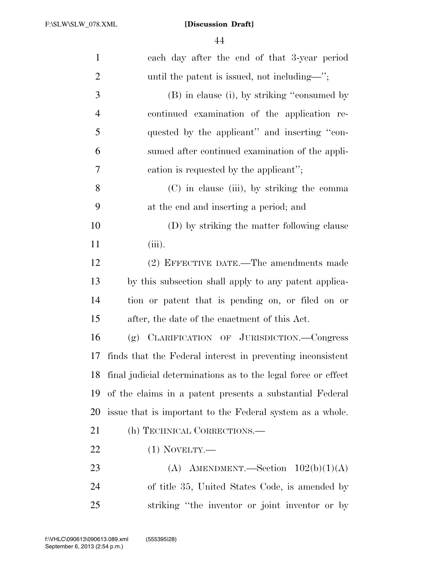| $\mathbf{1}$   | each day after the end of that 3-year period                  |
|----------------|---------------------------------------------------------------|
| $\overline{2}$ | until the patent is issued, not including—";                  |
| 3              | (B) in clause (i), by striking "consumed by                   |
| $\overline{4}$ | continued examination of the application re-                  |
| 5              | quested by the applicant" and inserting "con-                 |
| 6              | sumed after continued examination of the appli-               |
| $\tau$         | cation is requested by the applicant";                        |
| 8              | (C) in clause (iii), by striking the comma                    |
| 9              | at the end and inserting a period; and                        |
| 10             | (D) by striking the matter following clause                   |
| 11             | $(iii)$ .                                                     |
| 12             | (2) EFFECTIVE DATE.—The amendments made                       |
| 13             | by this subsection shall apply to any patent applica-         |
| 14             | tion or patent that is pending on, or filed on or             |
| 15             | after, the date of the enactment of this Act.                 |
| 16             | (g) CLARIFICATION OF JURISDICTION.-Congress                   |
| 17             | finds that the Federal interest in preventing inconsistent    |
| 18             | final judicial determinations as to the legal force or effect |
| 19             | of the claims in a patent presents a substantial Federal      |
| 20             | issue that is important to the Federal system as a whole.     |
| 21             | (h) TECHNICAL CORRECTIONS.—                                   |
| 22             | $(1)$ NOVELTY.—                                               |
| 23             | (A) AMENDMENT.—Section $102(b)(1)(A)$                         |
| 24             | of title 35, United States Code, is amended by                |
| 25             | striking "the inventor or joint inventor or by                |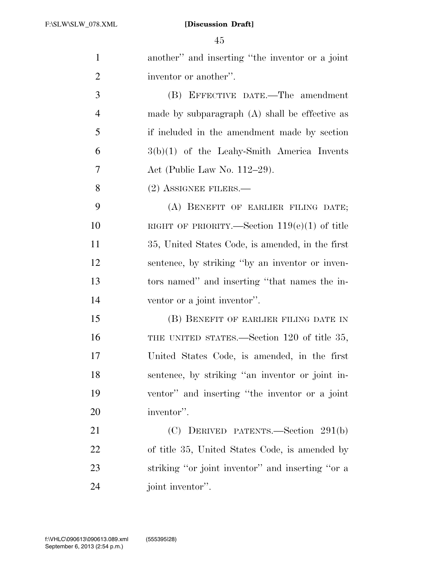| $\mathbf{1}$   | another" and inserting "the inventor or a joint  |
|----------------|--------------------------------------------------|
| $\overline{2}$ | inventor or another".                            |
| 3              | (B) EFFECTIVE DATE.—The amendment                |
| $\overline{4}$ | made by subparagraph $(A)$ shall be effective as |
| 5              | if included in the amendment made by section     |
| 6              | $3(b)(1)$ of the Leahy-Smith America Invents     |
| 7              | Act (Public Law No. $112-29$ ).                  |
| 8              | $(2)$ ASSIGNEE FILERS.—                          |
| 9              | (A) BENEFIT OF EARLIER FILING DATE;              |
| 10             | RIGHT OF PRIORITY.—Section $119(e)(1)$ of title  |
| 11             | 35, United States Code, is amended, in the first |
| 12             | sentence, by striking "by an inventor or inven-  |
| 13             | tors named" and inserting "that names the in-    |
| 14             | ventor or a joint inventor".                     |
| 15             | (B) BENEFIT OF EARLIER FILING DATE IN            |
| 16             | THE UNITED STATES.—Section 120 of title 35,      |
| 17             | United States Code, is amended, in the first     |
| 18             | sentence, by striking "an inventor or joint in-  |
| 19             | ventor" and inserting "the inventor or a joint   |
| 20             | inventor".                                       |
| 21             | (C) DERIVED PATENTS.—Section 291(b)              |
| 22             | of title 35, United States Code, is amended by   |
| 23             | striking "or joint inventor" and inserting "or a |
| 24             | joint inventor".                                 |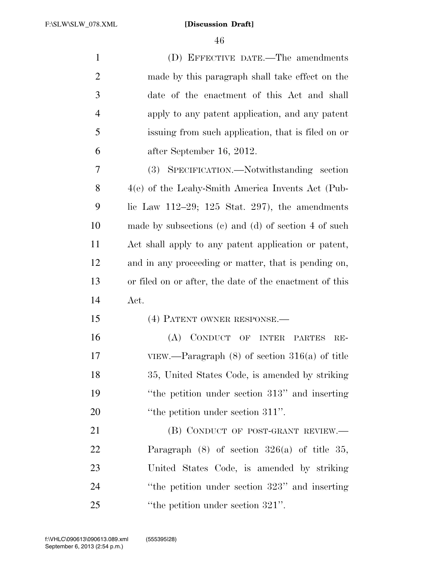(D) EFFECTIVE DATE.—The amendments made by this paragraph shall take effect on the date of the enactment of this Act and shall apply to any patent application, and any patent issuing from such application, that is filed on or after September 16, 2012. (3) SPECIFICATION.—Notwithstanding section 4(e) of the Leahy-Smith America Invents Act (Pub-9 lic Law  $112-29$ ;  $125$  Stat.  $297$ ), the amendments made by subsections (c) and (d) of section 4 of such Act shall apply to any patent application or patent, and in any proceeding or matter, that is pending on, or filed on or after, the date of the enactment of this Act. (4) PATENT OWNER RESPONSE.— (A) CONDUCT OF INTER PARTES RE- VIEW.—Paragraph (8) of section 316(a) of title 35, United States Code, is amended by striking ''the petition under section 313'' and inserting 20 
<sup>''the</sup> petition under section 311''. 21 (B) CONDUCT OF POST-GRANT REVIEW.— Paragraph (8) of section 326(a) of title 35,

 United States Code, is amended by striking ''the petition under section 323'' and inserting 25 "the petition under section 321".